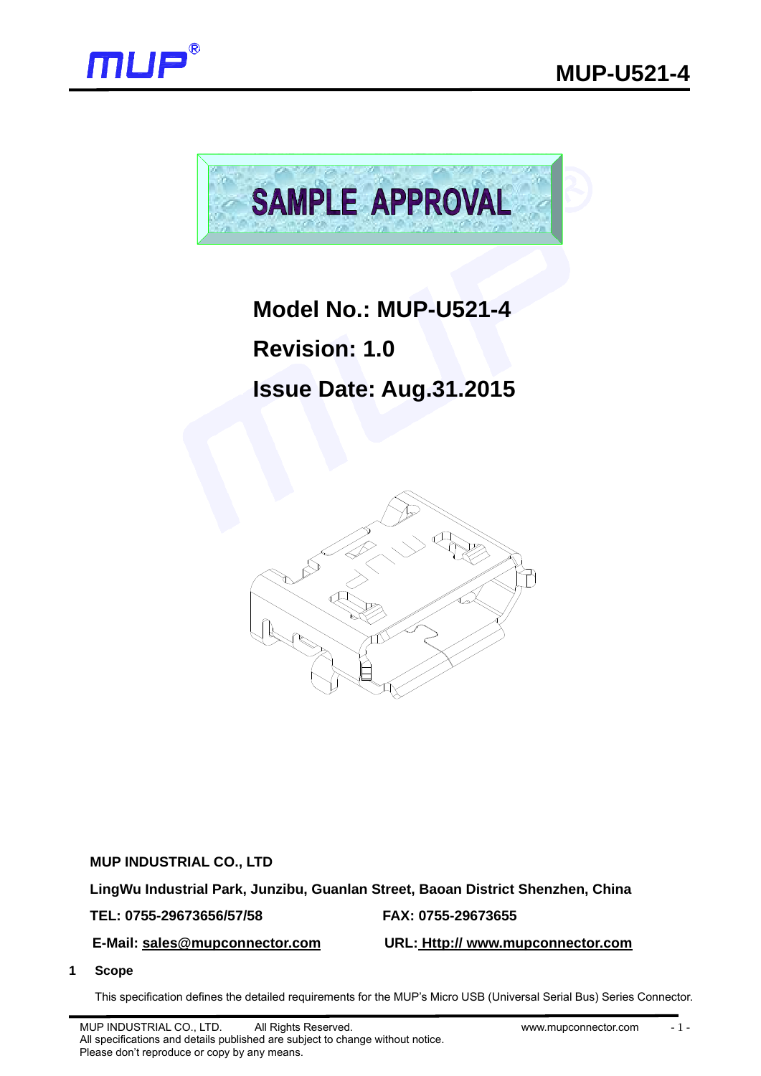



# **Model No.: MUP-U521-4**

**Revision: 1.0** 

# **Issue Date: Aug.31.2015**



**MUP INDUSTRIAL CO., LTD** 

**LingWu Industrial Park, Junzibu, Guanlan Street, Baoan District Shenzhen, China** 

## **TEL: 0755-29673656/57/58 FAX: 0755-29673655**

## **E-Mail: sales@mupconnector.com URL: Http:// www.mupconnector.com**

**1 Scope** 

This specification defines the detailed requirements for the MUP's Micro USB (Universal Serial Bus) Series Connector.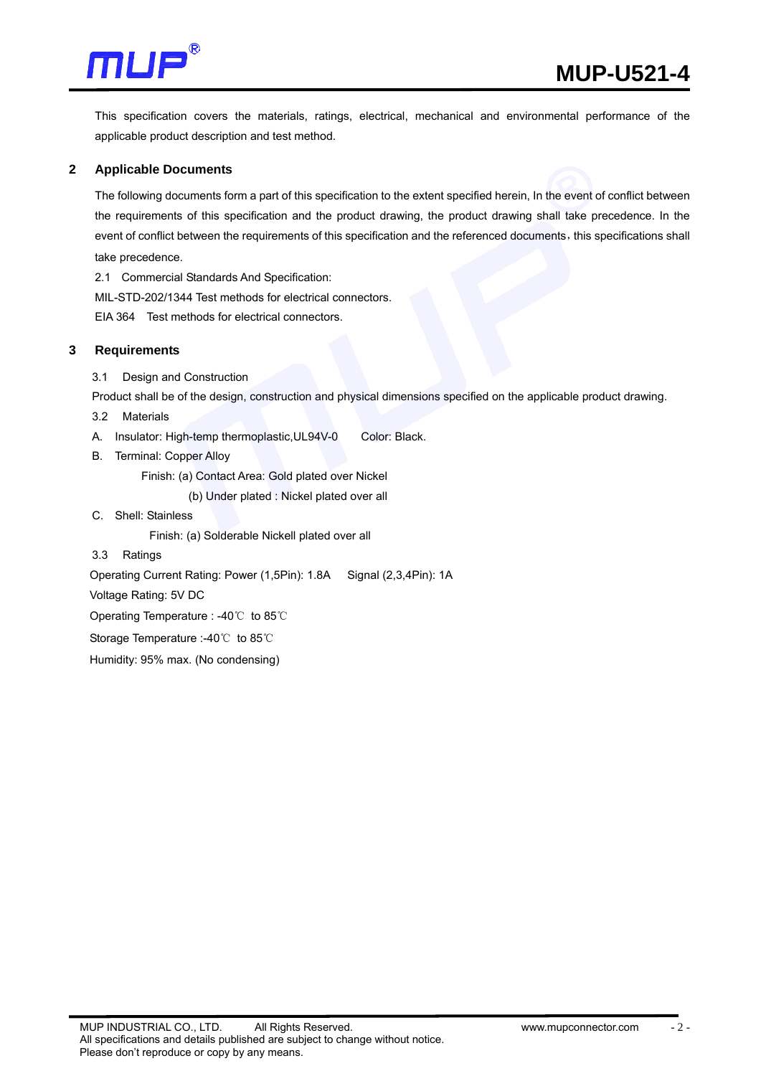

This specification covers the materials, ratings, electrical, mechanical and environmental performance of the applicable product description and test method.

#### **2 Applicable Documents**

The following documents form a part of this specification to the extent specified herein, In the event of conflict between the requirements of this specification and the product drawing, the product drawing shall take precedence. In the event of conflict between the requirements of this specification and the referenced documents, this specifications shall take precedence.

2.1 Commercial Standards And Specification:

MIL-STD-202/1344 Test methods for electrical connectors.

EIA 364 Test methods for electrical connectors.

#### **3 Requirements**

3.1 Design and Construction

Product shall be of the design, construction and physical dimensions specified on the applicable product drawing.

3.2 Materials

- A. Insulator: High-temp thermoplastic, UL94V-0 Color: Black.
- B. Terminal: Copper Alloy

Finish: (a) Contact Area: Gold plated over Nickel

(b) Under plated : Nickel plated over all

C. Shell: Stainless

Finish: (a) Solderable Nickell plated over all

3.3 Ratings

Operating Current Rating: Power (1,5Pin): 1.8A Signal (2,3,4Pin): 1A

Voltage Rating: 5V DC

Operating Temperature : -40℃ to 85℃

Storage Temperature :-40℃ to 85℃

Humidity: 95% max. (No condensing)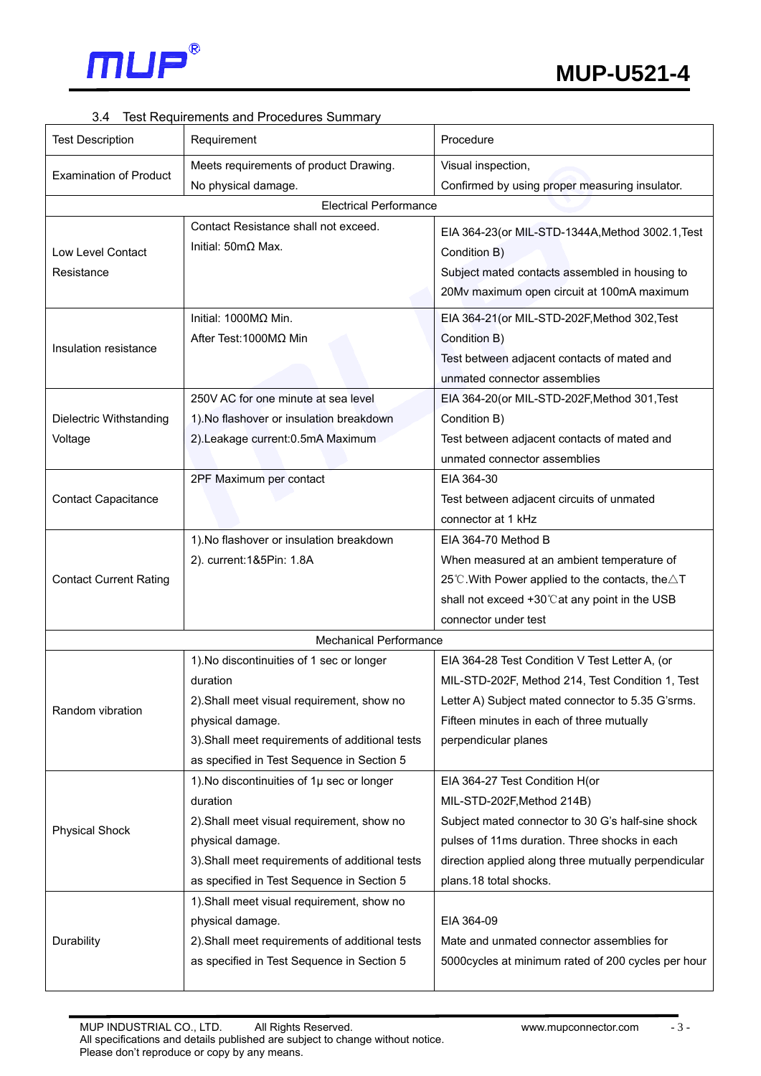

## 3.4 Test Requirements and Procedures Summary

| <b>Test Description</b>       | Requirement                                     | Procedure                                                                   |  |  |  |  |
|-------------------------------|-------------------------------------------------|-----------------------------------------------------------------------------|--|--|--|--|
|                               | Meets requirements of product Drawing.          | Visual inspection,                                                          |  |  |  |  |
| <b>Examination of Product</b> | No physical damage.                             | Confirmed by using proper measuring insulator.                              |  |  |  |  |
| <b>Electrical Performance</b> |                                                 |                                                                             |  |  |  |  |
|                               | Contact Resistance shall not exceed.            | EIA 364-23 (or MIL-STD-1344A, Method 3002.1, Test                           |  |  |  |  |
| Low Level Contact             | Initial: $50 \text{m}\Omega$ Max.               | Condition B)                                                                |  |  |  |  |
| Resistance                    |                                                 | Subject mated contacts assembled in housing to                              |  |  |  |  |
|                               |                                                 | 20Mv maximum open circuit at 100mA maximum                                  |  |  |  |  |
|                               |                                                 |                                                                             |  |  |  |  |
| Insulation resistance         | Initial: $1000M\Omega$ Min.                     | EIA 364-21(or MIL-STD-202F, Method 302, Test                                |  |  |  |  |
|                               | After Test: 1000ΜΩ Min                          | Condition B)                                                                |  |  |  |  |
|                               |                                                 | Test between adjacent contacts of mated and                                 |  |  |  |  |
|                               |                                                 | unmated connector assemblies                                                |  |  |  |  |
|                               | 250V AC for one minute at sea level             | EIA 364-20(or MIL-STD-202F, Method 301, Test                                |  |  |  |  |
| Dielectric Withstanding       | 1). No flashover or insulation breakdown        | Condition B)                                                                |  |  |  |  |
| Voltage                       | 2).Leakage current: 0.5mA Maximum               | Test between adjacent contacts of mated and<br>unmated connector assemblies |  |  |  |  |
|                               | 2PF Maximum per contact                         | EIA 364-30                                                                  |  |  |  |  |
| <b>Contact Capacitance</b>    |                                                 | Test between adjacent circuits of unmated                                   |  |  |  |  |
|                               |                                                 | connector at 1 kHz                                                          |  |  |  |  |
| <b>Contact Current Rating</b> | 1). No flashover or insulation breakdown        | EIA 364-70 Method B                                                         |  |  |  |  |
|                               | 2). current:1&5Pin: 1.8A                        | When measured at an ambient temperature of                                  |  |  |  |  |
|                               |                                                 | 25°C. With Power applied to the contacts, the $\triangle T$                 |  |  |  |  |
|                               |                                                 | shall not exceed +30°C at any point in the USB                              |  |  |  |  |
|                               |                                                 | connector under test                                                        |  |  |  |  |
|                               | <b>Mechanical Performance</b>                   |                                                                             |  |  |  |  |
|                               | 1). No discontinuities of 1 sec or longer       | EIA 364-28 Test Condition V Test Letter A, (or                              |  |  |  |  |
|                               | duration                                        | MIL-STD-202F, Method 214, Test Condition 1, Test                            |  |  |  |  |
|                               | 2). Shall meet visual requirement, show no      | Letter A) Subject mated connector to 5.35 G'srms.                           |  |  |  |  |
| Random vibration              | physical damage.                                | Fifteen minutes in each of three mutually                                   |  |  |  |  |
|                               | 3). Shall meet requirements of additional tests | perpendicular planes                                                        |  |  |  |  |
|                               | as specified in Test Sequence in Section 5      |                                                                             |  |  |  |  |
|                               | 1). No discontinuities of 1µ sec or longer      | EIA 364-27 Test Condition H(or                                              |  |  |  |  |
| <b>Physical Shock</b>         | duration                                        | MIL-STD-202F, Method 214B)                                                  |  |  |  |  |
|                               | 2). Shall meet visual requirement, show no      | Subject mated connector to 30 G's half-sine shock                           |  |  |  |  |
|                               | physical damage.                                | pulses of 11ms duration. Three shocks in each                               |  |  |  |  |
|                               | 3). Shall meet requirements of additional tests | direction applied along three mutually perpendicular                        |  |  |  |  |
|                               | as specified in Test Sequence in Section 5      | plans.18 total shocks.                                                      |  |  |  |  |
|                               | 1). Shall meet visual requirement, show no      |                                                                             |  |  |  |  |
|                               | physical damage.                                | EIA 364-09                                                                  |  |  |  |  |
| Durability                    | 2). Shall meet requirements of additional tests | Mate and unmated connector assemblies for                                   |  |  |  |  |
|                               | as specified in Test Sequence in Section 5      | 5000cycles at minimum rated of 200 cycles per hour                          |  |  |  |  |
|                               |                                                 |                                                                             |  |  |  |  |

- 3 -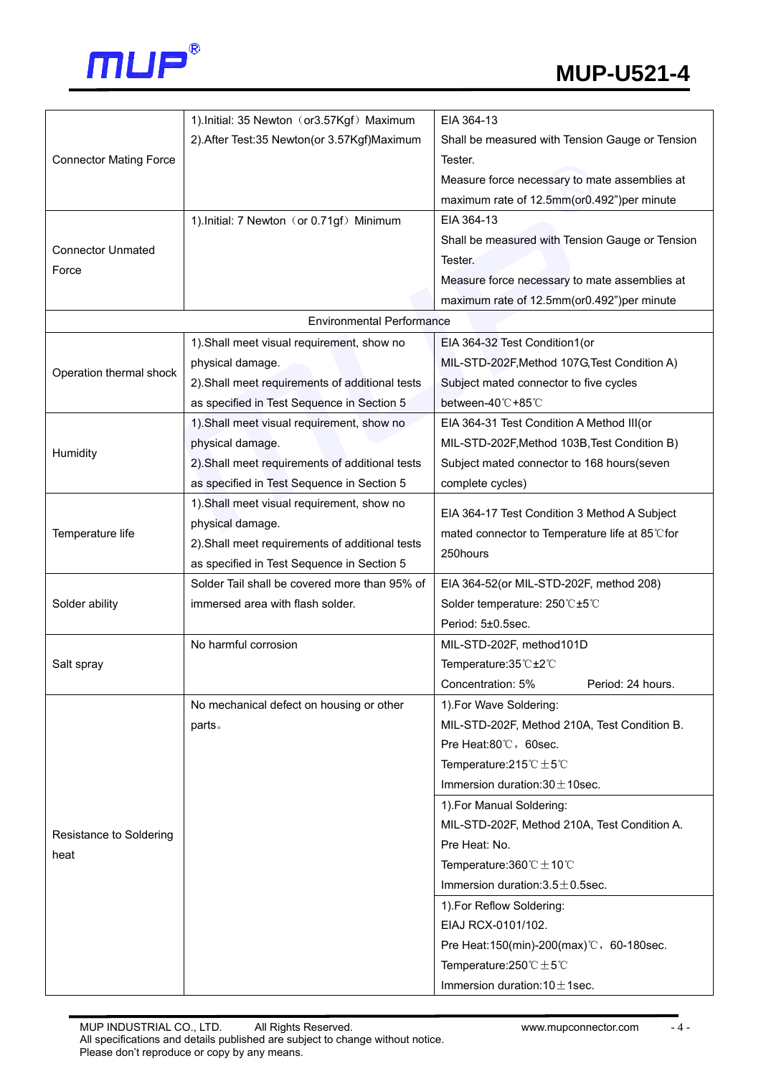

|                                  | 1). Initial: 35 Newton (or3.57Kgf) Maximum      | EIA 364-13                                        |  |  |  |  |  |
|----------------------------------|-------------------------------------------------|---------------------------------------------------|--|--|--|--|--|
| <b>Connector Mating Force</b>    | 2). After Test: 35 Newton (or 3.57Kgf) Maximum  | Shall be measured with Tension Gauge or Tension   |  |  |  |  |  |
|                                  |                                                 | Tester.                                           |  |  |  |  |  |
|                                  |                                                 | Measure force necessary to mate assemblies at     |  |  |  |  |  |
|                                  |                                                 | maximum rate of 12.5mm(or0.492")per minute        |  |  |  |  |  |
|                                  | 1). Initial: 7 Newton (or 0.71gf) Minimum       | EIA 364-13                                        |  |  |  |  |  |
|                                  |                                                 | Shall be measured with Tension Gauge or Tension   |  |  |  |  |  |
| <b>Connector Unmated</b>         |                                                 | Tester.                                           |  |  |  |  |  |
| Force                            |                                                 | Measure force necessary to mate assemblies at     |  |  |  |  |  |
|                                  |                                                 | maximum rate of 12.5mm(or0.492")per minute        |  |  |  |  |  |
| <b>Environmental Performance</b> |                                                 |                                                   |  |  |  |  |  |
|                                  | 1). Shall meet visual requirement, show no      | EIA 364-32 Test Condition1(or                     |  |  |  |  |  |
|                                  | physical damage.                                | MIL-STD-202F, Method 107G, Test Condition A)      |  |  |  |  |  |
| Operation thermal shock          | 2). Shall meet requirements of additional tests | Subject mated connector to five cycles            |  |  |  |  |  |
|                                  | as specified in Test Sequence in Section 5      | between-40℃+85℃                                   |  |  |  |  |  |
|                                  | 1). Shall meet visual requirement, show no      | EIA 364-31 Test Condition A Method III(or         |  |  |  |  |  |
|                                  | physical damage.                                | MIL-STD-202F, Method 103B, Test Condition B)      |  |  |  |  |  |
| Humidity                         | 2). Shall meet requirements of additional tests | Subject mated connector to 168 hours(seven        |  |  |  |  |  |
|                                  | as specified in Test Sequence in Section 5      | complete cycles)                                  |  |  |  |  |  |
|                                  | 1). Shall meet visual requirement, show no      |                                                   |  |  |  |  |  |
|                                  | physical damage.                                | EIA 364-17 Test Condition 3 Method A Subject      |  |  |  |  |  |
| Temperature life                 | 2). Shall meet requirements of additional tests | mated connector to Temperature life at 85℃for     |  |  |  |  |  |
|                                  | as specified in Test Sequence in Section 5      | 250hours                                          |  |  |  |  |  |
|                                  | Solder Tail shall be covered more than 95% of   | EIA 364-52(or MIL-STD-202F, method 208)           |  |  |  |  |  |
| Solder ability                   | immersed area with flash solder.                | Solder temperature: 250°C±5°C                     |  |  |  |  |  |
|                                  |                                                 | Period: 5±0.5sec.                                 |  |  |  |  |  |
|                                  | No harmful corrosion                            | MIL-STD-202F, method101D                          |  |  |  |  |  |
| Salt spray                       |                                                 | Temperature: 35 ℃ ±2 ℃                            |  |  |  |  |  |
|                                  |                                                 | Concentration: 5%<br>Period: 24 hours.            |  |  |  |  |  |
|                                  | No mechanical defect on housing or other        | 1). For Wave Soldering:                           |  |  |  |  |  |
|                                  | parts.                                          | MIL-STD-202F, Method 210A, Test Condition B.      |  |  |  |  |  |
|                                  |                                                 | Pre Heat:80°C, 60sec.                             |  |  |  |  |  |
|                                  |                                                 | Temperature: $215^{\circ}$ C $\pm$ 5°C            |  |  |  |  |  |
|                                  |                                                 | Immersion duration: $30 \pm 10$ sec.              |  |  |  |  |  |
|                                  |                                                 | 1). For Manual Soldering:                         |  |  |  |  |  |
|                                  |                                                 | MIL-STD-202F, Method 210A, Test Condition A.      |  |  |  |  |  |
| Resistance to Soldering          |                                                 | Pre Heat: No.                                     |  |  |  |  |  |
| heat                             |                                                 | Temperature: $360^{\circ}$ C ± 10°C               |  |  |  |  |  |
|                                  |                                                 | Immersion duration: $3.5 \pm 0.5$ sec.            |  |  |  |  |  |
|                                  |                                                 | 1). For Reflow Soldering:                         |  |  |  |  |  |
|                                  |                                                 | EIAJ RCX-0101/102.                                |  |  |  |  |  |
|                                  |                                                 | Pre Heat:150(min)-200(max) ℃, 60-180sec.          |  |  |  |  |  |
|                                  |                                                 | Temperature: $250^{\circ}$ C $\pm$ 5 $^{\circ}$ C |  |  |  |  |  |
|                                  |                                                 | Immersion duration: $10 \pm 1$ sec.               |  |  |  |  |  |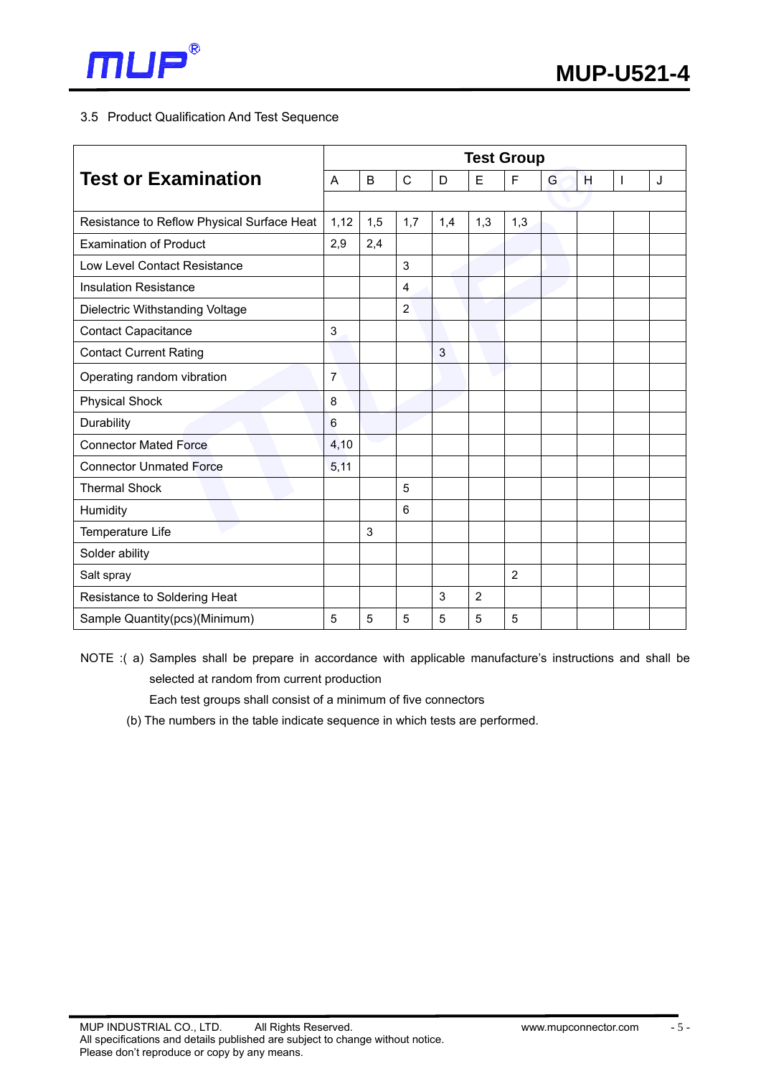

## 3.5 Product Qualification And Test Sequence

| <b>Test or Examination</b>                 |                | <b>Test Group</b> |                |                |                |                |   |   |   |   |
|--------------------------------------------|----------------|-------------------|----------------|----------------|----------------|----------------|---|---|---|---|
|                                            |                | B                 | $\mathsf{C}$   | D              | E              | F              | G | H | T | J |
|                                            |                |                   |                |                |                |                |   |   |   |   |
| Resistance to Reflow Physical Surface Heat | 1,12           | 1,5               | 1,7            | 1,4            | 1,3            | 1,3            |   |   |   |   |
| <b>Examination of Product</b>              | 2,9            | 2,4               |                |                |                |                |   |   |   |   |
| Low Level Contact Resistance               |                |                   | 3              |                |                |                |   |   |   |   |
| <b>Insulation Resistance</b>               |                |                   | $\overline{4}$ |                |                |                |   |   |   |   |
| Dielectric Withstanding Voltage            |                |                   | $\overline{2}$ |                |                |                |   |   |   |   |
| <b>Contact Capacitance</b>                 | 3              |                   |                |                |                |                |   |   |   |   |
| <b>Contact Current Rating</b>              |                |                   |                | $\overline{3}$ |                |                |   |   |   |   |
| Operating random vibration                 | $\overline{7}$ |                   |                |                |                |                |   |   |   |   |
| <b>Physical Shock</b>                      | 8              |                   |                |                |                |                |   |   |   |   |
| Durability                                 | 6              |                   |                |                |                |                |   |   |   |   |
| <b>Connector Mated Force</b>               | 4,10           |                   |                |                |                |                |   |   |   |   |
| <b>Connector Unmated Force</b>             | 5,11           |                   |                |                |                |                |   |   |   |   |
| <b>Thermal Shock</b>                       |                |                   | 5              |                |                |                |   |   |   |   |
| Humidity                                   |                |                   | 6              |                |                |                |   |   |   |   |
| Temperature Life                           |                | 3                 |                |                |                |                |   |   |   |   |
| Solder ability                             |                |                   |                |                |                |                |   |   |   |   |
| Salt spray                                 |                |                   |                |                |                | $\overline{2}$ |   |   |   |   |
| Resistance to Soldering Heat               |                |                   |                | 3              | $\overline{2}$ |                |   |   |   |   |
| Sample Quantity(pcs)(Minimum)              |                | 5                 | 5              | 5              | 5              | 5              |   |   |   |   |

NOTE :( a) Samples shall be prepare in accordance with applicable manufacture's instructions and shall be selected at random from current production

Each test groups shall consist of a minimum of five connectors

(b) The numbers in the table indicate sequence in which tests are performed.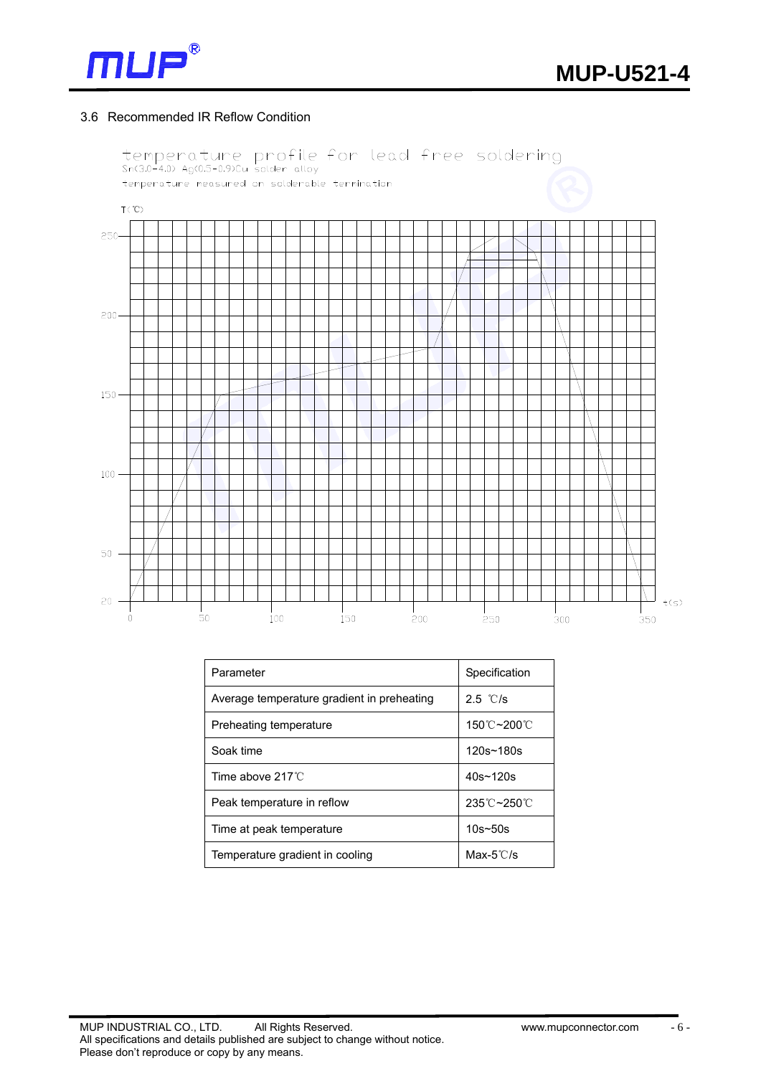

#### 3.6 Recommended IR Reflow Condition



| Parameter                                  | Specification        |  |  |  |
|--------------------------------------------|----------------------|--|--|--|
| Average temperature gradient in preheating | 2.5 °C/s             |  |  |  |
| Preheating temperature                     | 150℃~200℃            |  |  |  |
| Soak time                                  | 120s~180s            |  |  |  |
| Time above $217^{\circ}$ C                 | $40s \sim 120s$      |  |  |  |
| Peak temperature in reflow                 | 235℃~250℃            |  |  |  |
| Time at peak temperature                   | $10s - 50s$          |  |  |  |
| Temperature gradient in cooling            | Max- $5^{\circ}$ C/s |  |  |  |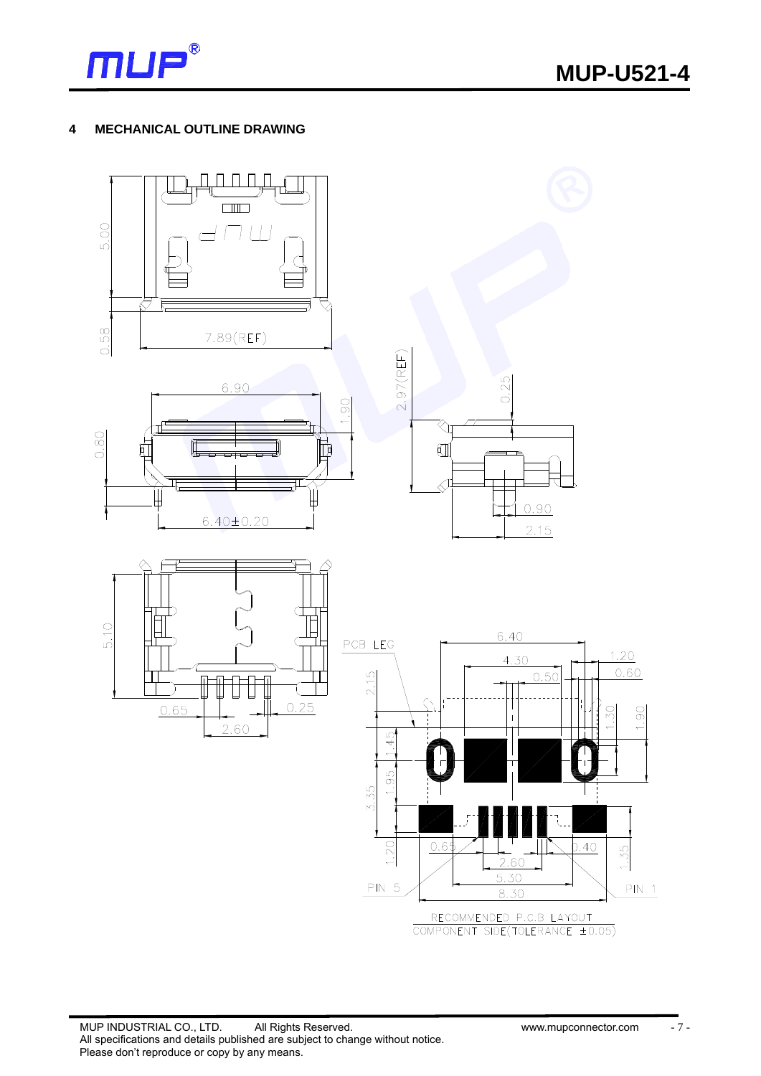

#### **4 MECHANICAL OUTLINE DRAWING**